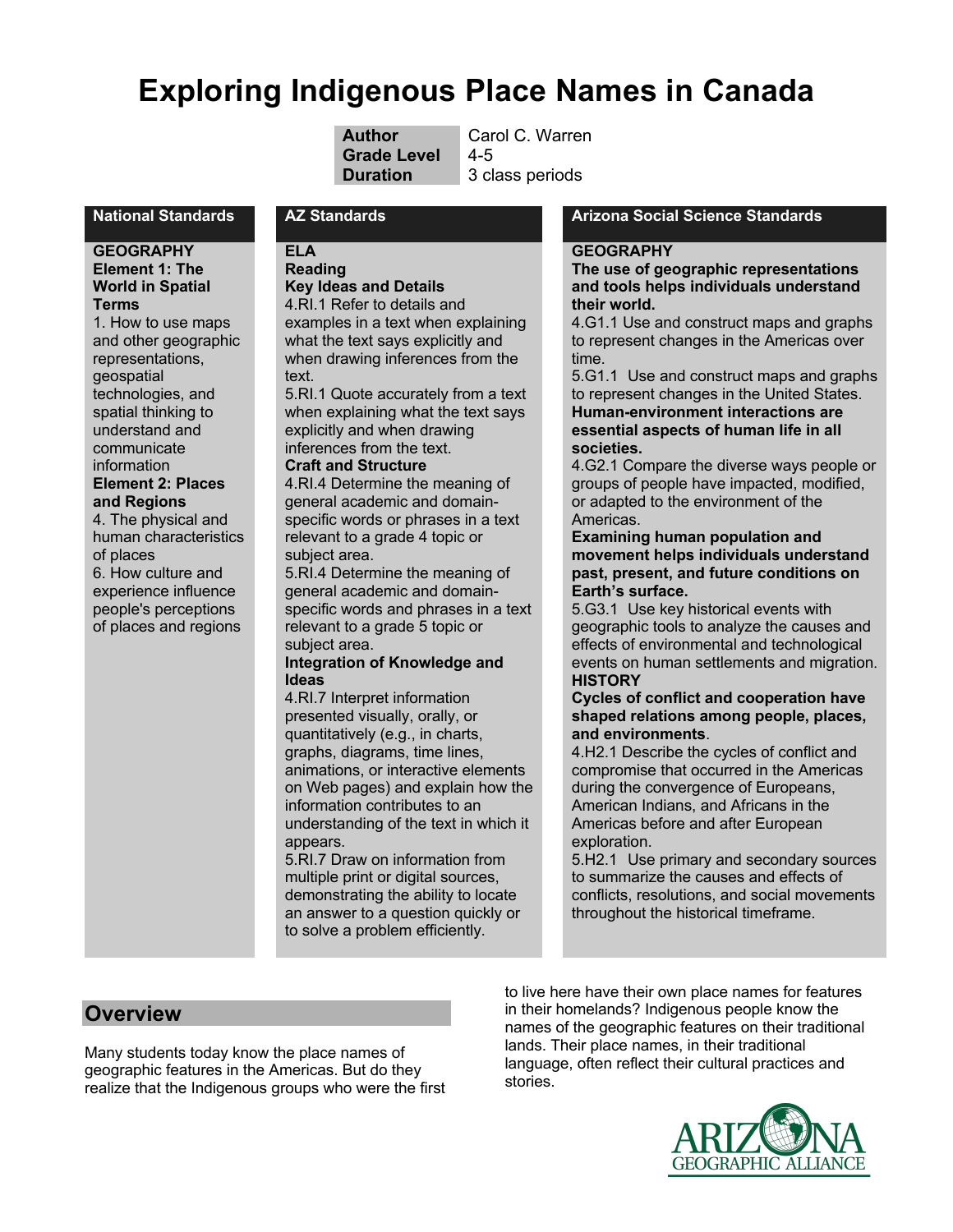# **Exploring Indigenous Place Names in Canada**

| <b>Author</b>      | Carol C. Warren |
|--------------------|-----------------|
| <b>Grade Level</b> | $4 - 5$         |
| <b>Duration</b>    | 3 class periods |

### **GEOGRAPHY Element 1: The World in Spatial Terms**

1. How to use maps and other geographic representations, geospatial technologies, and spatial thinking to understand and communicate information **Element 2: Places and Regions** 4. The physical and human characteristics of places 6. How culture and experience influence people's perceptions of places and regions

#### **ELA Reading Key Ideas and Details**

4.RI.1 Refer to details and

examples in a text when explaining what the text says explicitly and when drawing inferences from the text.

5.RI.1 Quote accurately from a text when explaining what the text says explicitly and when drawing inferences from the text.

#### **Craft and Structure**

4.RI.4 Determine the meaning of general academic and domainspecific words or phrases in a text relevant to a grade 4 topic or subject area.

5.RI.4 Determine the meaning of general academic and domainspecific words and phrases in a text relevant to a grade 5 topic or subject area.

#### **Integration of Knowledge and Ideas**

4.RI.7 Interpret information presented visually, orally, or quantitatively (e.g., in charts, graphs, diagrams, time lines, animations, or interactive elements on Web pages) and explain how the information contributes to an understanding of the text in which it appears.

5.RI.7 Draw on information from multiple print or digital sources, demonstrating the ability to locate an answer to a question quickly or to solve a problem efficiently.

### **National Standards AZ Standards Arizona Social Science Standards**

#### **GEOGRAPHY**

**The use of geographic representations and tools helps individuals understand their world.**

4.G1.1 Use and construct maps and graphs to represent changes in the Americas over time.

5.G1.1 Use and construct maps and graphs to represent changes in the United States. **Human-environment interactions are essential aspects of human life in all societies.** 

4.G2.1 Compare the diverse ways people or groups of people have impacted, modified, or adapted to the environment of the Americas.

### **Examining human population and movement helps individuals understand past, present, and future conditions on Earth's surface.**

5.G3.1 Use key historical events with geographic tools to analyze the causes and effects of environmental and technological events on human settlements and migration. **HISTORY**

#### **Cycles of conflict and cooperation have shaped relations among people, places, and environments**.

4.H2.1 Describe the cycles of conflict and compromise that occurred in the Americas during the convergence of Europeans, American Indians, and Africans in the Americas before and after European exploration.

5.H2.1 Use primary and secondary sources to summarize the causes and effects of conflicts, resolutions, and social movements throughout the historical timeframe.

### **Overview**

Many students today know the place names of geographic features in the Americas. But do they realize that the Indigenous groups who were the first to live here have their own place names for features in their homelands? Indigenous people know the names of the geographic features on their traditional lands. Their place names, in their traditional language, often reflect their cultural practices and stories.

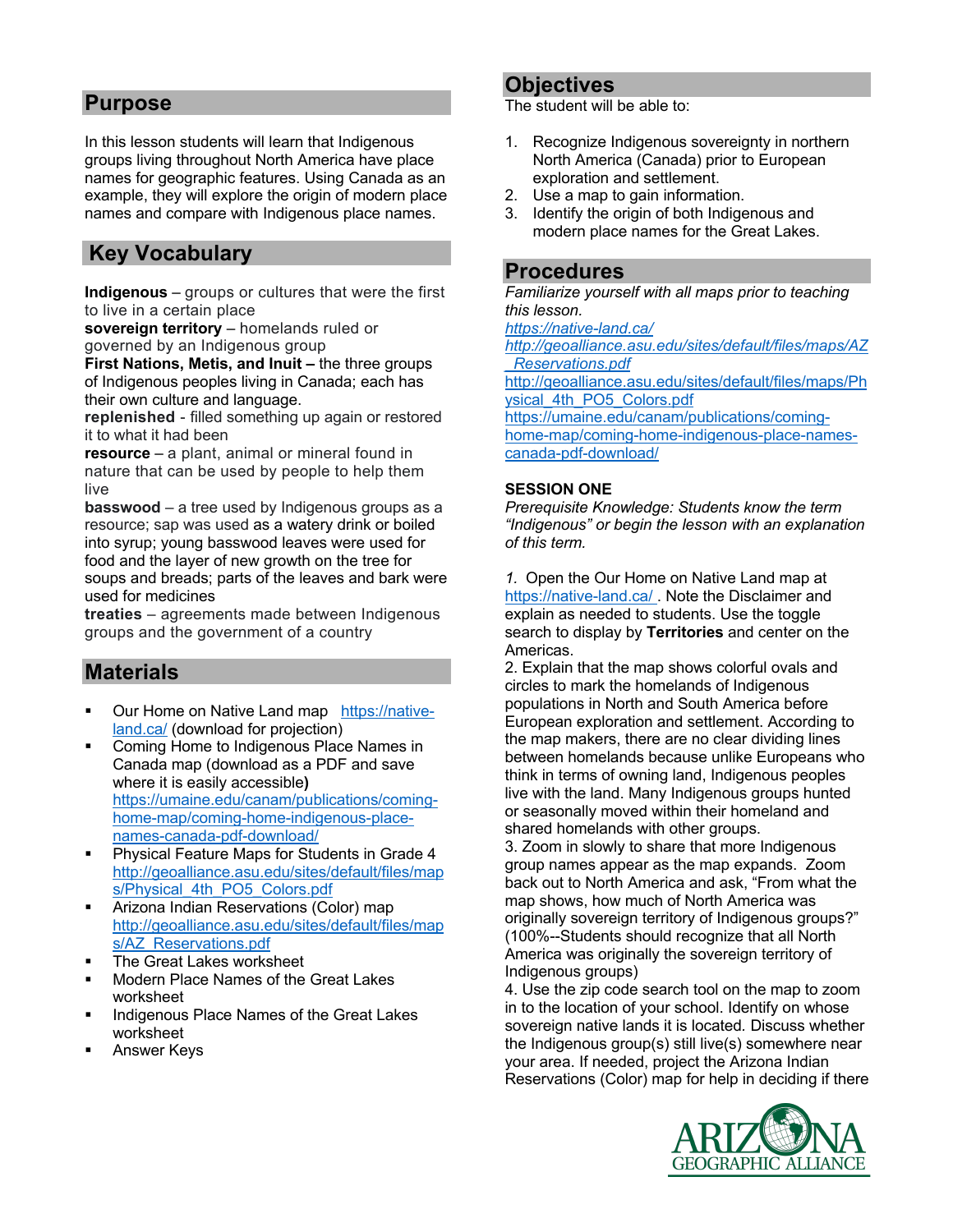### **Purpose**

In this lesson students will learn that Indigenous groups living throughout North America have place names for geographic features. Using Canada as an example, they will explore the origin of modern place names and compare with Indigenous place names.

## **Key Vocabulary**

**Indigenous** – groups or cultures that were the first to live in a certain place

**sovereign territory** – homelands ruled or governed by an Indigenous group

**First Nations, Metis, and Inuit –** the three groups of Indigenous peoples living in Canada; each has their own culture and language.

**replenished** - filled something up again or restored it to what it had been

**resource** – a plant, animal or mineral found in nature that can be used by people to help them live

**basswood** – a tree used by Indigenous groups as a resource; sap was used as a watery drink or boiled into syrup; young basswood leaves were used for food and the layer of new growth on the tree for soups and breads; parts of the leaves and bark were used for medicines

**treaties** – agreements made between Indigenous groups and the government of a country

### **Materials**

- § Our Home on Native Land map https://nativeland.ca/ (download for projection)
- § Coming Home to Indigenous Place Names in Canada map (download as a PDF and save where it is easily accessible**)** https://umaine.edu/canam/publications/cominghome-map/coming-home-indigenous-placenames-canada-pdf-download/
- § Physical Feature Maps for Students in Grade 4 http://geoalliance.asu.edu/sites/default/files/map s/Physical\_4th\_PO5\_Colors.pdf
- § Arizona Indian Reservations (Color) map http://geoalliance.asu.edu/sites/default/files/map s/AZ\_Reservations.pdf
- § The Great Lakes worksheet
- § Modern Place Names of the Great Lakes worksheet
- § Indigenous Place Names of the Great Lakes worksheet
- § Answer Keys

### **Objectives**

The student will be able to:

- 1. Recognize Indigenous sovereignty in northern North America (Canada) prior to European exploration and settlement.
- 2. Use a map to gain information.
- 3. Identify the origin of both Indigenous and modern place names for the Great Lakes.

### **Procedures**

*Familiarize yourself with all maps prior to teaching this lesson.*

*https://native-land.ca/*

*http://geoalliance.asu.edu/sites/default/files/maps/AZ \_Reservations.pdf*

http://geoalliance.asu.edu/sites/default/files/maps/Ph ysical\_4th\_PO5\_Colors.pdf

https://umaine.edu/canam/publications/cominghome-map/coming-home-indigenous-place-namescanada-pdf-download/

### **SESSION ONE**

*Prerequisite Knowledge: Students know the term "Indigenous" or begin the lesson with an explanation of this term.* 

*1.* Open the Our Home on Native Land map at https://native-land.ca/ . Note the Disclaimer and explain as needed to students. Use the toggle search to display by **Territories** and center on the Americas.

2. Explain that the map shows colorful ovals and circles to mark the homelands of Indigenous populations in North and South America before European exploration and settlement. According to the map makers, there are no clear dividing lines between homelands because unlike Europeans who think in terms of owning land, Indigenous peoples live with the land. Many Indigenous groups hunted or seasonally moved within their homeland and shared homelands with other groups.

3. Zoom in slowly to share that more Indigenous group names appear as the map expands. Zoom back out to North America and ask, "From what the map shows, how much of North America was originally sovereign territory of Indigenous groups?" (100%--Students should recognize that all North America was originally the sovereign territory of Indigenous groups)

4. Use the zip code search tool on the map to zoom in to the location of your school. Identify on whose sovereign native lands it is located*.* Discuss whether the Indigenous group(s) still live(s) somewhere near your area. If needed, project the Arizona Indian Reservations (Color) map for help in deciding if there

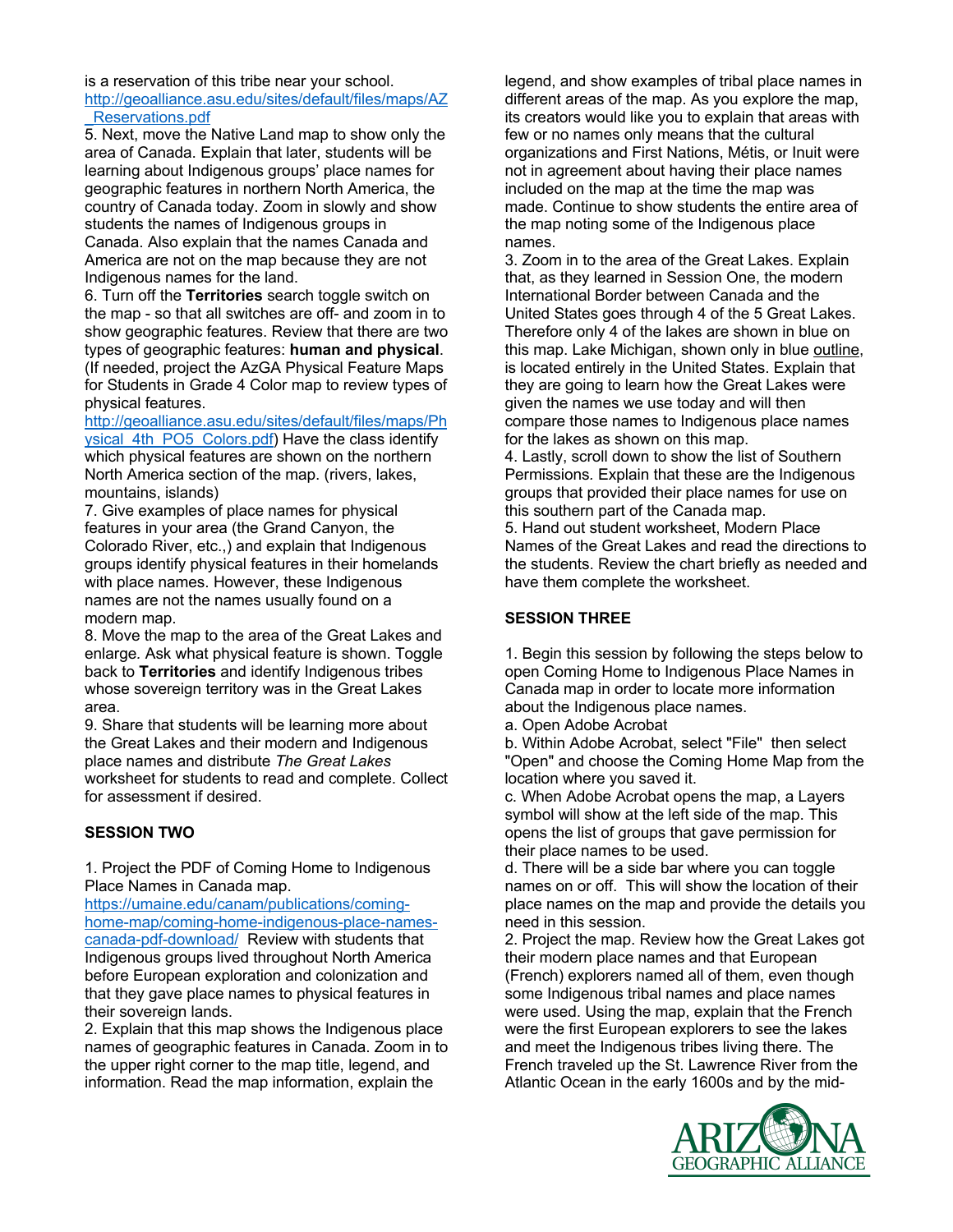is a reservation of this tribe near your school. http://geoalliance.asu.edu/sites/default/files/maps/AZ

\_Reservations.pdf

5. Next, move the Native Land map to show only the area of Canada. Explain that later, students will be learning about Indigenous groups' place names for geographic features in northern North America, the country of Canada today. Zoom in slowly and show students the names of Indigenous groups in Canada. Also explain that the names Canada and America are not on the map because they are not Indigenous names for the land.

6. Turn off the **Territories** search toggle switch on the map - so that all switches are off- and zoom in to show geographic features. Review that there are two types of geographic features: **human and physical**. (If needed, project the AzGA Physical Feature Maps for Students in Grade 4 Color map to review types of physical features.

http://geoalliance.asu.edu/sites/default/files/maps/Ph vsical\_4th\_PO5\_Colors.pdf) Have the class identify which physical features are shown on the northern North America section of the map. (rivers, lakes, mountains, islands)

7. Give examples of place names for physical features in your area (the Grand Canyon, the Colorado River, etc.,) and explain that Indigenous groups identify physical features in their homelands with place names. However, these Indigenous names are not the names usually found on a modern map.

8. Move the map to the area of the Great Lakes and enlarge*.* Ask what physical feature is shown. Toggle back to **Territories** and identify Indigenous tribes whose sovereign territory was in the Great Lakes area.

9. Share that students will be learning more about the Great Lakes and their modern and Indigenous place names and distribute *The Great Lakes* worksheet for students to read and complete. Collect for assessment if desired.

### **SESSION TWO**

1. Project the PDF of Coming Home to Indigenous Place Names in Canada map.

https://umaine.edu/canam/publications/cominghome-map/coming-home-indigenous-place-namescanada-pdf-download/ Review with students that Indigenous groups lived throughout North America before European exploration and colonization and that they gave place names to physical features in their sovereign lands.

2. Explain that this map shows the Indigenous place names of geographic features in Canada. Zoom in to the upper right corner to the map title, legend, and information. Read the map information, explain the

legend, and show examples of tribal place names in different areas of the map. As you explore the map, its creators would like you to explain that areas with few or no names only means that the cultural organizations and First Nations, Métis, or Inuit were not in agreement about having their place names included on the map at the time the map was made. Continue to show students the entire area of the map noting some of the Indigenous place names.

3. Zoom in to the area of the Great Lakes. Explain that, as they learned in Session One, the modern International Border between Canada and the United States goes through 4 of the 5 Great Lakes. Therefore only 4 of the lakes are shown in blue on this map. Lake Michigan, shown only in blue outline, is located entirely in the United States. Explain that they are going to learn how the Great Lakes were given the names we use today and will then compare those names to Indigenous place names for the lakes as shown on this map.

4. Lastly, scroll down to show the list of Southern Permissions*.* Explain that these are the Indigenous groups that provided their place names for use on this southern part of the Canada map.

5. Hand out student worksheet, Modern Place Names of the Great Lakes and read the directions to the students. Review the chart briefly as needed and have them complete the worksheet.

### **SESSION THREE**

1. Begin this session by following the steps below to open Coming Home to Indigenous Place Names in Canada map in order to locate more information about the Indigenous place names.

a. Open Adobe Acrobat

b. Within Adobe Acrobat, select "File" then select "Open" and choose the Coming Home Map from the location where you saved it.

c. When Adobe Acrobat opens the map, a Layers symbol will show at the left side of the map. This opens the list of groups that gave permission for their place names to be used.

d. There will be a side bar where you can toggle names on or off. This will show the location of their place names on the map and provide the details you need in this session.

2. Project the map. Review how the Great Lakes got their modern place names and that European (French) explorers named all of them, even though some Indigenous tribal names and place names were used. Using the map, explain that the French were the first European explorers to see the lakes and meet the Indigenous tribes living there. The French traveled up the St. Lawrence River from the Atlantic Ocean in the early 1600s and by the mid-

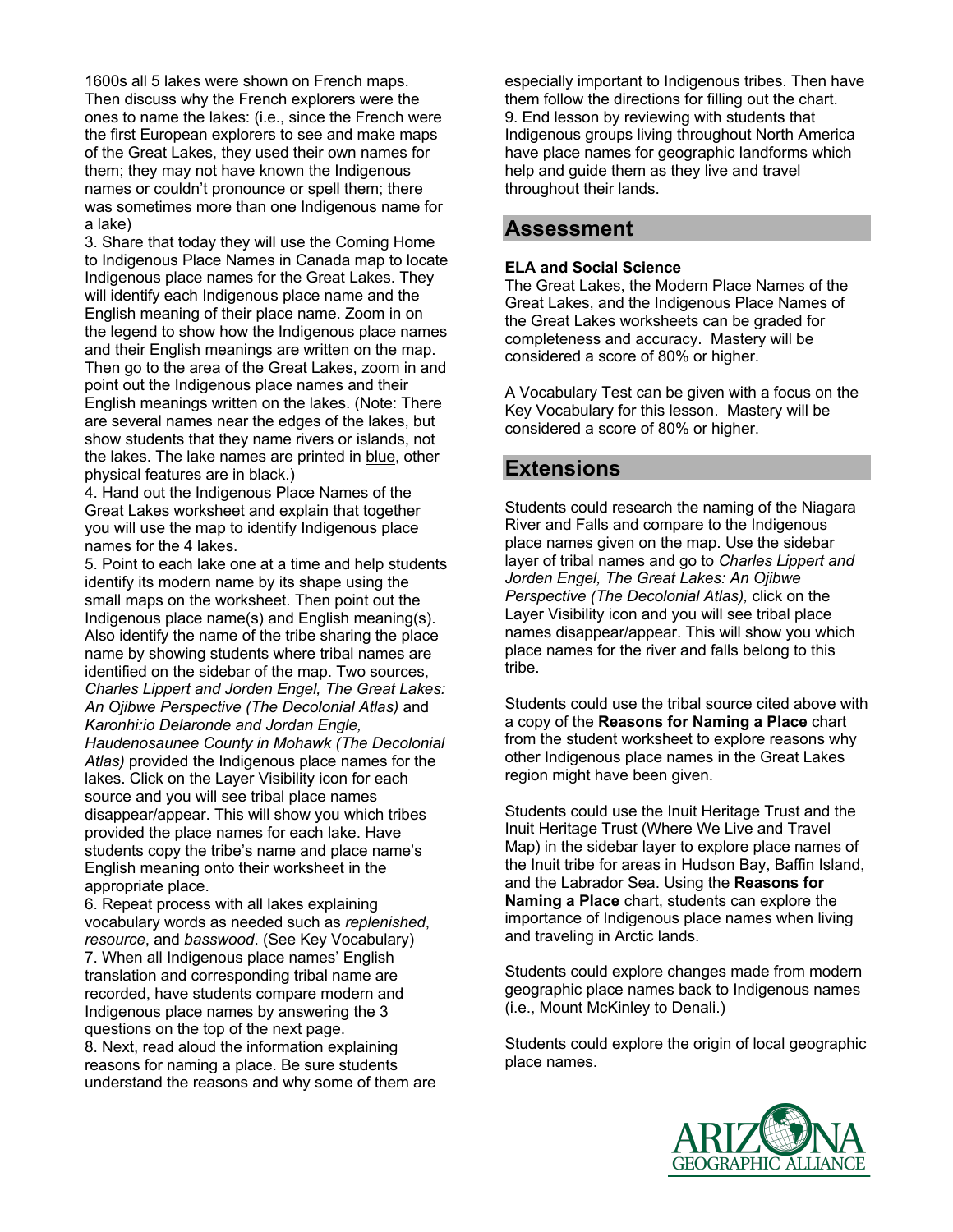1600s all 5 lakes were shown on French maps. Then discuss why the French explorers were the ones to name the lakes: (i.e., since the French were the first European explorers to see and make maps of the Great Lakes, they used their own names for them; they may not have known the Indigenous names or couldn't pronounce or spell them; there was sometimes more than one Indigenous name for a lake)

3. Share that today they will use the Coming Home to Indigenous Place Names in Canada map to locate Indigenous place names for the Great Lakes. They will identify each Indigenous place name and the English meaning of their place name. Zoom in on the legend to show how the Indigenous place names and their English meanings are written on the map. Then go to the area of the Great Lakes, zoom in and point out the Indigenous place names and their English meanings written on the lakes. (Note: There are several names near the edges of the lakes, but show students that they name rivers or islands, not the lakes. The lake names are printed in blue, other physical features are in black.)

4. Hand out the Indigenous Place Names of the Great Lakes worksheet and explain that together you will use the map to identify Indigenous place names for the 4 lakes.

5. Point to each lake one at a time and help students identify its modern name by its shape using the small maps on the worksheet. Then point out the Indigenous place name(s) and English meaning(s). Also identify the name of the tribe sharing the place name by showing students where tribal names are identified on the sidebar of the map. Two sources, *Charles Lippert and Jorden Engel, The Great Lakes: An Ojibwe Perspective (The Decolonial Atlas)* and *Karonhi:io Delaronde and Jordan Engle,* 

*Haudenosaunee County in Mohawk (The Decolonial Atlas)* provided the Indigenous place names for the lakes. Click on the Layer Visibility icon for each source and you will see tribal place names disappear/appear. This will show you which tribes provided the place names for each lake. Have students copy the tribe's name and place name's English meaning onto their worksheet in the appropriate place.

6. Repeat process with all lakes explaining vocabulary words as needed such as *replenished*, *resource*, and *basswood*. (See Key Vocabulary) 7. When all Indigenous place names' English translation and corresponding tribal name are recorded, have students compare modern and Indigenous place names by answering the 3 questions on the top of the next page.

8. Next, read aloud the information explaining reasons for naming a place. Be sure students understand the reasons and why some of them are especially important to Indigenous tribes. Then have them follow the directions for filling out the chart. 9. End lesson by reviewing with students that Indigenous groups living throughout North America have place names for geographic landforms which help and guide them as they live and travel throughout their lands.

### **Assessment**

### **ELA and Social Science**

The Great Lakes, the Modern Place Names of the Great Lakes, and the Indigenous Place Names of the Great Lakes worksheets can be graded for completeness and accuracy. Mastery will be considered a score of 80% or higher.

A Vocabulary Test can be given with a focus on the Key Vocabulary for this lesson. Mastery will be considered a score of 80% or higher.

## **Extensions**

Students could research the naming of the Niagara River and Falls and compare to the Indigenous place names given on the map. Use the sidebar layer of tribal names and go to *Charles Lippert and Jorden Engel, The Great Lakes: An Ojibwe Perspective (The Decolonial Atlas),* click on the Layer Visibility icon and you will see tribal place names disappear/appear. This will show you which place names for the river and falls belong to this tribe.

Students could use the tribal source cited above with a copy of the **Reasons for Naming a Place** chart from the student worksheet to explore reasons why other Indigenous place names in the Great Lakes region might have been given.

Students could use the Inuit Heritage Trust and the Inuit Heritage Trust (Where We Live and Travel Map) in the sidebar layer to explore place names of the Inuit tribe for areas in Hudson Bay, Baffin Island, and the Labrador Sea. Using the **Reasons for Naming a Place** chart, students can explore the importance of Indigenous place names when living and traveling in Arctic lands.

Students could explore changes made from modern geographic place names back to Indigenous names (i.e., Mount McKinley to Denali.)

Students could explore the origin of local geographic place names.